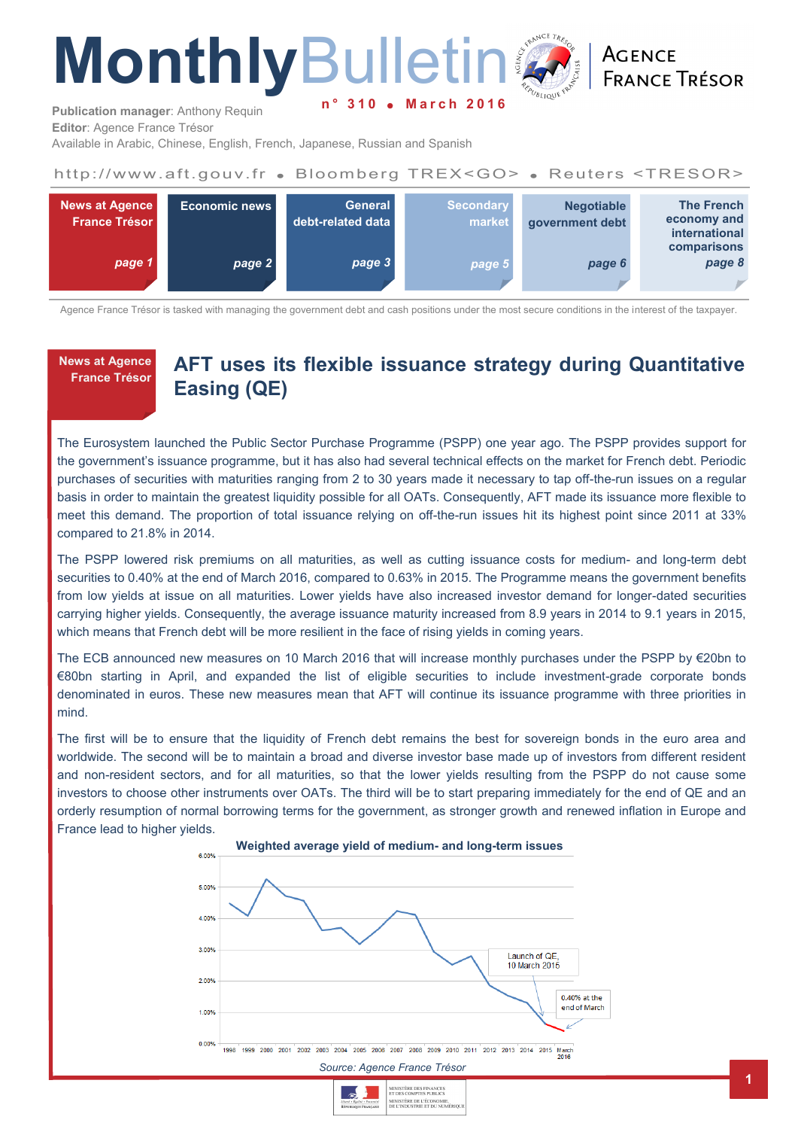# **MonthlyBulleting March**

**ACENCE FRANCE TRÉSOR** 

**Publication manager**: Anthony Requin **Editor**: Agence France Trésor

Available in Arabic, Chinese, English, French, Japanese, Russian and Spanish

# http://www.aft.gouv.fr . Bloomberg TREX<GO> . Reuters <TRESOR>



Agence France Trésor is tasked with managing the government debt and cash positions under the most secure conditions in the interest of the taxpayer.

**News at Agence France Trésor** 

# **AFT uses its flexible issuance strategy during Quantitative Easing (QE)**

The Eurosystem launched the Public Sector Purchase Programme (PSPP) one year ago. The PSPP provides support for the government's issuance programme, but it has also had several technical effects on the market for French debt. Periodic purchases of securities with maturities ranging from 2 to 30 years made it necessary to tap off-the-run issues on a regular basis in order to maintain the greatest liquidity possible for all OATs. Consequently, AFT made its issuance more flexible to meet this demand. The proportion of total issuance relying on off-the-run issues hit its highest point since 2011 at 33% compared to 21.8% in 2014.

The PSPP lowered risk premiums on all maturities, as well as cutting issuance costs for medium- and long-term debt securities to 0.40% at the end of March 2016, compared to 0.63% in 2015. The Programme means the government benefits from low yields at issue on all maturities. Lower yields have also increased investor demand for longer-dated securities carrying higher yields. Consequently, the average issuance maturity increased from 8.9 years in 2014 to 9.1 years in 2015, which means that French debt will be more resilient in the face of rising yields in coming years.

The ECB announced new measures on 10 March 2016 that will increase monthly purchases under the PSPP by €20bn to €80bn starting in April, and expanded the list of eligible securities to include investment-grade corporate bonds denominated in euros. These new measures mean that AFT will continue its issuance programme with three priorities in mind.

The first will be to ensure that the liquidity of French debt remains the best for sovereign bonds in the euro area and worldwide. The second will be to maintain a broad and diverse investor base made up of investors from different resident and non-resident sectors, and for all maturities, so that the lower yields resulting from the PSPP do not cause some investors to choose other instruments over OATs. The third will be to start preparing immediately for the end of QE and an orderly resumption of normal borrowing terms for the government, as stronger growth and renewed inflation in Europe and France lead to higher yields.



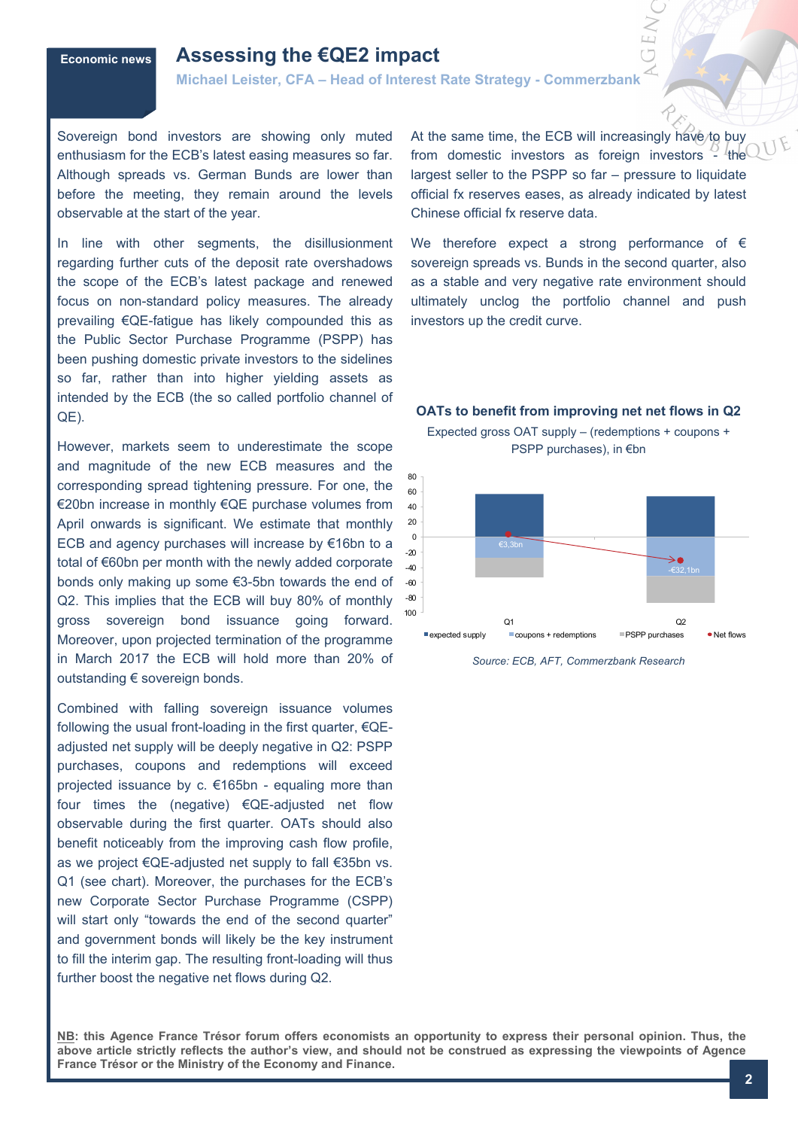# **Economic news Assessing the €QE2 impact**

**Michael Leister, CFA – Head of Interest Rate Strategy - Commerzbank** 

Sovereign bond investors are showing only muted enthusiasm for the ECB's latest easing measures so far. Although spreads vs. German Bunds are lower than before the meeting, they remain around the levels observable at the start of the year.

In line with other segments, the disillusionment regarding further cuts of the deposit rate overshadows the scope of the ECB's latest package and renewed focus on non-standard policy measures. The already prevailing €QE-fatigue has likely compounded this as the Public Sector Purchase Programme (PSPP) has been pushing domestic private investors to the sidelines so far, rather than into higher yielding assets as intended by the ECB (the so called portfolio channel of QE).

However, markets seem to underestimate the scope and magnitude of the new ECB measures and the corresponding spread tightening pressure. For one, the €20bn increase in monthly €QE purchase volumes from April onwards is significant. We estimate that monthly ECB and agency purchases will increase by €16bn to a total of €60bn per month with the newly added corporate bonds only making up some €3-5bn towards the end of Q2. This implies that the ECB will buy 80% of monthly gross sovereign bond issuance going forward. Moreover, upon projected termination of the programme in March 2017 the ECB will hold more than 20% of outstanding € sovereign bonds.

Combined with falling sovereign issuance volumes following the usual front-loading in the first quarter, €QEadjusted net supply will be deeply negative in Q2: PSPP purchases, coupons and redemptions will exceed projected issuance by c. €165bn - equaling more than four times the (negative) €QE-adjusted net flow observable during the first quarter. OATs should also benefit noticeably from the improving cash flow profile, as we project €QE-adjusted net supply to fall €35bn vs. Q1 (see chart). Moreover, the purchases for the ECB's new Corporate Sector Purchase Programme (CSPP) will start only "towards the end of the second quarter" and government bonds will likely be the key instrument to fill the interim gap. The resulting front-loading will thus further boost the negative net flows during Q2.

At the same time, the ECB will increasingly have/to buy from domestic investors as foreign investors - the largest seller to the PSPP so far – pressure to liquidate official fx reserves eases, as already indicated by latest Chinese official fx reserve data.

We therefore expect a strong performance of  $\epsilon$ sovereign spreads vs. Bunds in the second quarter, also as a stable and very negative rate environment should ultimately unclog the portfolio channel and push investors up the credit curve.



*Source: ECB, AFT, Commerzbank Research*

**NB: this Agence France Trésor forum offers economists an opportunity to express their personal opinion. Thus, the above article strictly reflects the author's view, and should not be construed as expressing the viewpoints of Agence France Trésor or the Ministry of the Economy and Finance.**

# **OATs to benefit from improving net net flows in Q2** Expected gross OAT supply – (redemptions + coupons +

PSPP purchases), in €bn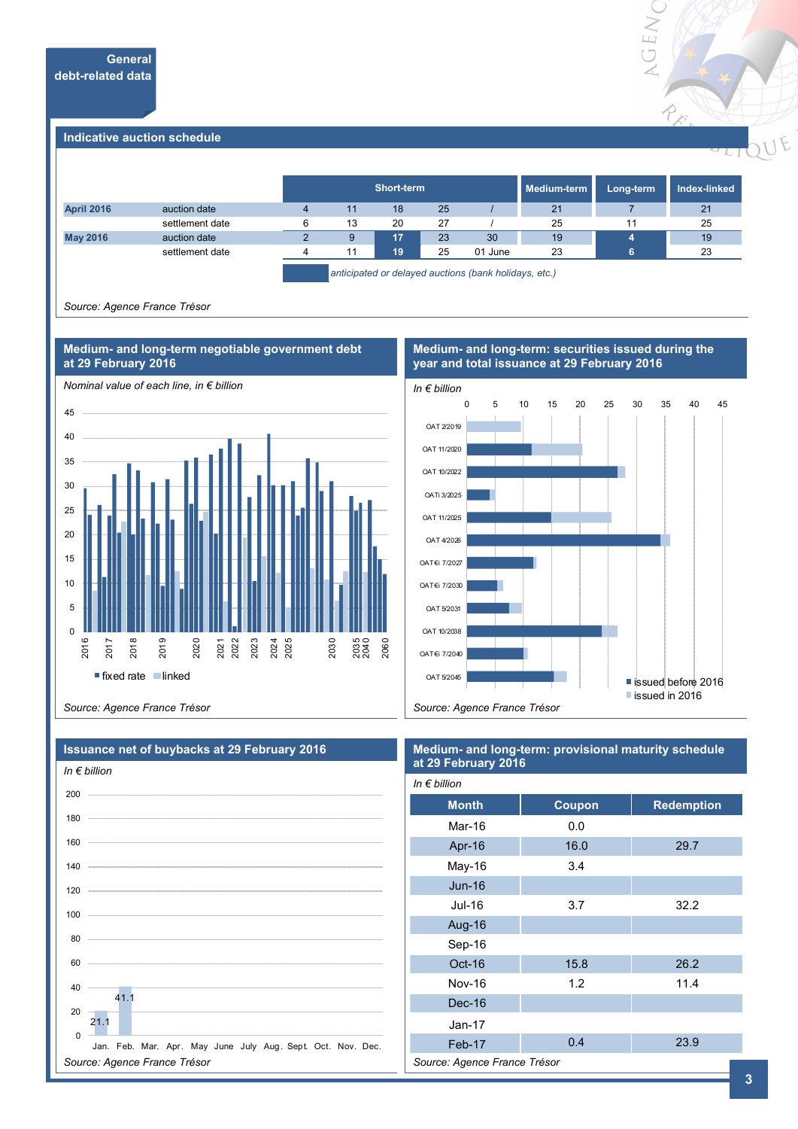

#### **Indicative auction schedule**

|                   |                 |    | Short-term                                                                                                      |    |         | Medium-term | Long-term | Index-linked |
|-------------------|-----------------|----|-----------------------------------------------------------------------------------------------------------------|----|---------|-------------|-----------|--------------|
| <b>April 2016</b> | auction date    | 11 | 18                                                                                                              | 25 |         | 21          |           | 21           |
|                   | settlement date | 13 | 20                                                                                                              | 27 |         | 25          | 11        | 25           |
| <b>May 2016</b>   | auction date    | 9  | 17                                                                                                              | 23 | 30      | 19          |           | 19           |
|                   | settlement date | 11 | 19                                                                                                              | 25 | 01 June | 23          |           | 23           |
|                   |                 |    | the contract of the contract of the contract of the contract of the contract of the contract of the contract of |    | .       | .           |           |              |

*anticipated or delayed auctions (bank holidays, etc.)*

*Source: Agence France Trésor*



#### **Medium- and long-term: securities issued during the year and total issuance at 29 February 2016**



*Source: Agence France Trésor*

| <b>Issuance net of buybacks at 29 February 2016</b><br>In $\epsilon$ billion | Medium- and long-term: provisional maturity schedule<br>at 29 February 2016 |        |                   |  |  |
|------------------------------------------------------------------------------|-----------------------------------------------------------------------------|--------|-------------------|--|--|
|                                                                              | In $\notin$ billion                                                         |        |                   |  |  |
|                                                                              | <b>Month</b>                                                                | Coupon | <b>Redemption</b> |  |  |
|                                                                              | Mar-16                                                                      | 0.0    |                   |  |  |
|                                                                              | Apr-16                                                                      | 16.0   | 29.7              |  |  |
|                                                                              | May-16                                                                      | 3.4    |                   |  |  |
|                                                                              | $Jun-16$                                                                    |        |                   |  |  |
|                                                                              | Jul-16                                                                      | 3.7    | 32.2              |  |  |
|                                                                              | Aug-16                                                                      |        |                   |  |  |
| 80                                                                           | Sep-16                                                                      |        |                   |  |  |
|                                                                              | $Oct-16$                                                                    | 15.8   | 26.2              |  |  |
| 40                                                                           | Nov-16                                                                      | 1.2    | 11.4              |  |  |
| 41.1<br>20                                                                   | Dec-16                                                                      |        |                   |  |  |
| 21.1                                                                         | $Jan-17$                                                                    |        |                   |  |  |
| $\Omega$<br>Jan. Feb. Mar. Apr. May June July Aug. Sept. Oct. Nov. Dec.      | Feb-17                                                                      | 0.4    | 23.9              |  |  |
| Source: Agence France Trésor                                                 | Source: Agence France Trésor                                                |        |                   |  |  |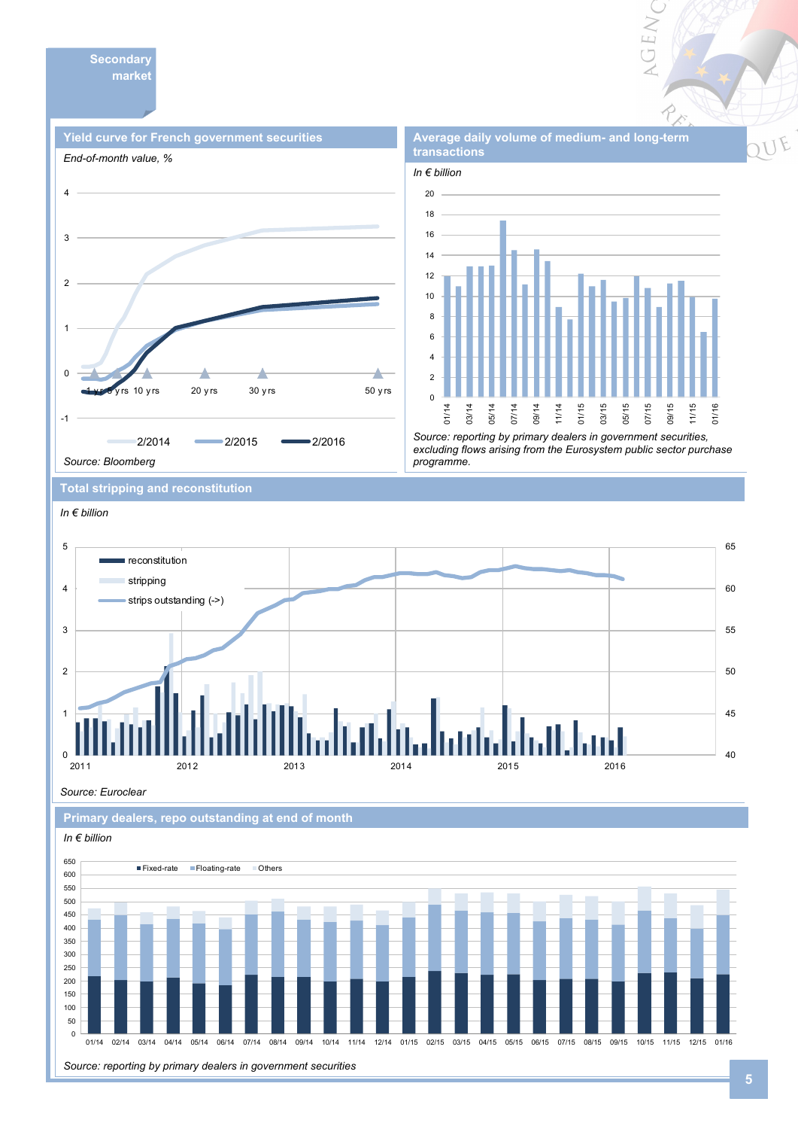



*Source: reporting by primary dealers in government securities, excluding flows arising from the Eurosystem public sector purchase programme.* 

**Total stripping and reconstitution** 



*Source: Euroclear*





**Average daily volume of medium- and long-term** 

VGEN

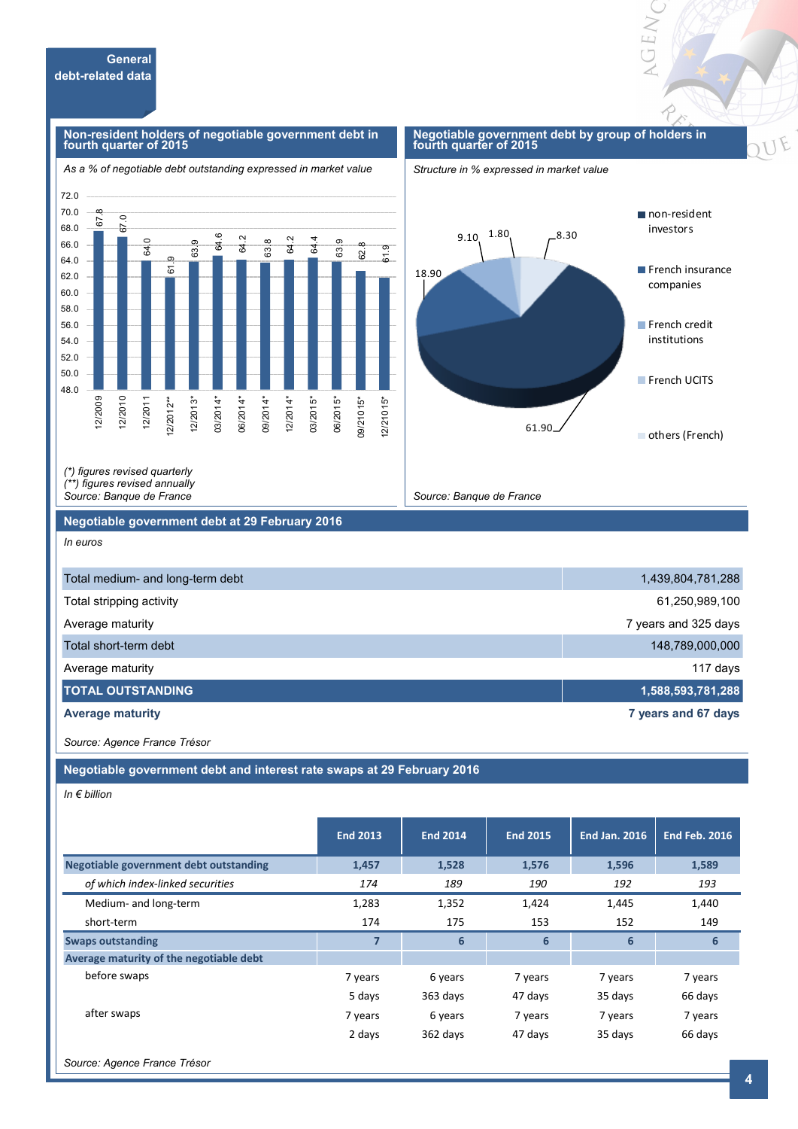#### **Non-resident holders of negotiable government debt in fourth quarter of 2015**





OEN



*(\*) figures revised quarterly (\*\*) figures revised annually* 

*Source: Banque de France*

#### **Negotiable government debt at 29 February 2016**

*In euros*

| Total medium- and long-term debt | 1,439,804,781,288    |
|----------------------------------|----------------------|
| Total stripping activity         | 61,250,989,100       |
| Average maturity                 | 7 years and 325 days |
| Total short-term debt            | 148,789,000,000      |
| Average maturity                 | 117 days             |
| <b>TOTAL OUTSTANDING</b>         | 1,588,593,781,288    |
| <b>Average maturity</b>          | 7 years and 67 days  |

*Source: Banque de France*

*Source: Agence France Trésor*

**Negotiable government debt and interest rate swaps at 29 February 2016**

*In € billion*

|                                               | <b>End 2013</b> | <b>End 2014</b> | <b>End 2015</b> | <b>End Jan. 2016</b> | <b>End Feb. 2016</b> |
|-----------------------------------------------|-----------------|-----------------|-----------------|----------------------|----------------------|
| <b>Negotiable government debt outstanding</b> | 1,457           | 1,528           | 1,576           | 1,596                | 1,589                |
| of which index-linked securities              | 174             | 189             | 190             | 192                  | 193                  |
| Medium- and long-term                         | 1,283           | 1,352           | 1,424           | 1,445                | 1,440                |
| short-term                                    | 174             | 175             | 153             | 152                  | 149                  |
| <b>Swaps outstanding</b>                      | $\overline{7}$  | 6               | 6               | 6                    | 6                    |
| Average maturity of the negotiable debt       |                 |                 |                 |                      |                      |
| before swaps                                  | 7 years         | 6 years         | 7 years         | 7 years              | 7 years              |
|                                               | 5 days          | 363 days        | 47 days         | 35 days              | 66 days              |
| after swaps                                   | 7 years         | 6 years         | 7 years         | 7 years              | 7 years              |
|                                               | 2 days          | 362 days        | 47 days         | 35 days              | 66 days              |

*Source: Agence France Trésor*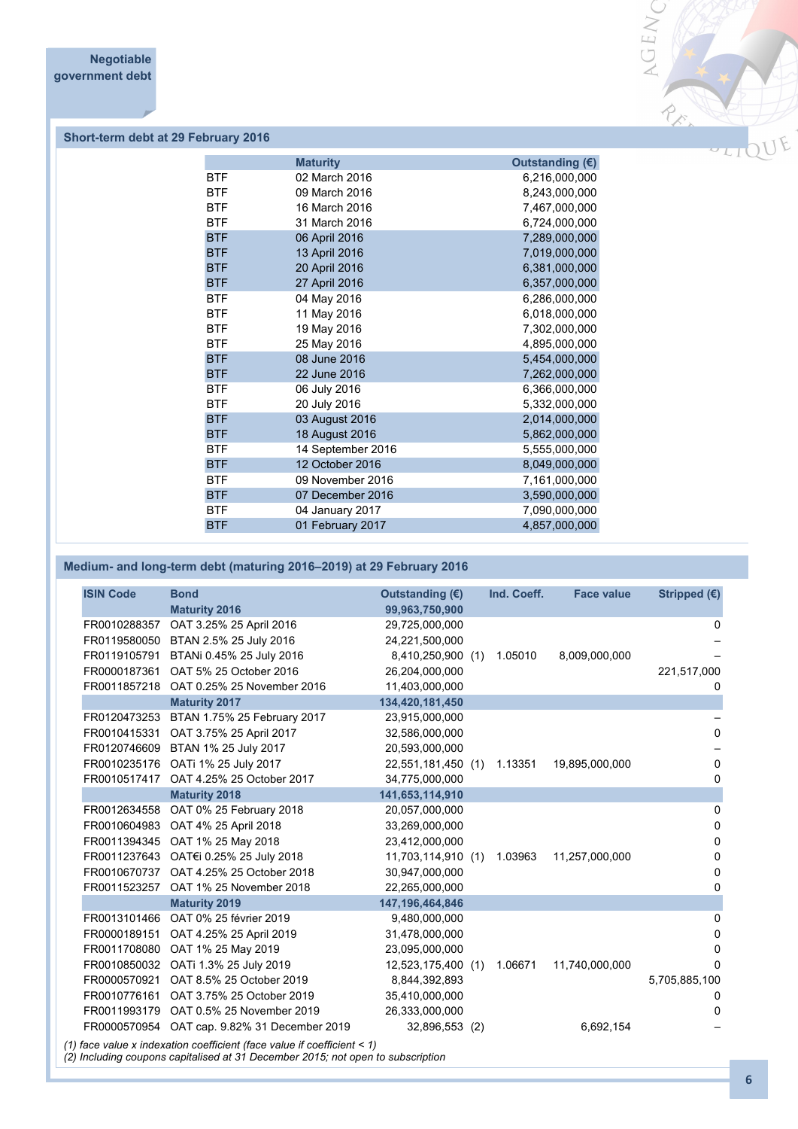

# **Short-term debt at 29 February 2016**

|            | <b>Maturity</b>   | Outstanding $(\epsilon)$ |
|------------|-------------------|--------------------------|
| <b>BTF</b> | 02 March 2016     | 6,216,000,000            |
| <b>BTF</b> | 09 March 2016     | 8,243,000,000            |
| <b>BTF</b> | 16 March 2016     | 7,467,000,000            |
| <b>BTF</b> | 31 March 2016     | 6,724,000,000            |
| <b>BTF</b> | 06 April 2016     | 7,289,000,000            |
| <b>BTF</b> | 13 April 2016     | 7,019,000,000            |
| <b>BTF</b> | 20 April 2016     | 6,381,000,000            |
| <b>BTF</b> | 27 April 2016     | 6,357,000,000            |
| <b>BTF</b> | 04 May 2016       | 6,286,000,000            |
| <b>BTF</b> | 11 May 2016       | 6,018,000,000            |
| <b>BTF</b> | 19 May 2016       | 7,302,000,000            |
| <b>BTF</b> | 25 May 2016       | 4,895,000,000            |
| <b>BTF</b> | 08 June 2016      | 5,454,000,000            |
| <b>BTF</b> | 22 June 2016      | 7,262,000,000            |
| <b>BTF</b> | 06 July 2016      | 6,366,000,000            |
| <b>BTF</b> | 20 July 2016      | 5,332,000,000            |
| <b>BTF</b> | 03 August 2016    | 2,014,000,000            |
| <b>BTF</b> | 18 August 2016    | 5,862,000,000            |
| <b>BTF</b> | 14 September 2016 | 5,555,000,000            |
| <b>BTF</b> | 12 October 2016   | 8,049,000,000            |
| <b>BTF</b> | 09 November 2016  | 7,161,000,000            |
| <b>BTF</b> | 07 December 2016  | 3,590,000,000            |
| <b>BTF</b> | 04 January 2017   | 7,090,000,000            |
| <b>BTF</b> | 01 February 2017  | 4,857,000,000            |
|            |                   |                          |

# **Medium- and long-term debt (maturing 2016–2019) at 29 February 2016**

| <b>ISIN Code</b> | <b>Bond</b>                                  | Outstanding $(E)$  | Ind. Coeff. | <b>Face value</b> | Stripped (€)  |
|------------------|----------------------------------------------|--------------------|-------------|-------------------|---------------|
|                  | <b>Maturity 2016</b>                         | 99,963,750,900     |             |                   |               |
| FR0010288357     | OAT 3.25% 25 April 2016                      | 29,725,000,000     |             |                   | 0             |
| FR0119580050     | BTAN 2.5% 25 July 2016                       | 24,221,500,000     |             |                   |               |
| FR0119105791     | BTANi 0.45% 25 July 2016                     | 8,410,250,900 (1)  | 1.05010     | 8,009,000,000     |               |
| FR0000187361     | OAT 5% 25 October 2016                       | 26,204,000,000     |             |                   | 221,517,000   |
| FR0011857218     | OAT 0.25% 25 November 2016                   | 11,403,000,000     |             |                   | 0             |
|                  | <b>Maturity 2017</b>                         | 134,420,181,450    |             |                   |               |
| FR0120473253     | BTAN 1.75% 25 February 2017                  | 23,915,000,000     |             |                   |               |
| FR0010415331     | OAT 3.75% 25 April 2017                      | 32,586,000,000     |             |                   | $\mathbf{0}$  |
| FR0120746609     | BTAN 1% 25 July 2017                         | 20,593,000,000     |             |                   |               |
| FR0010235176     | OATi 1% 25 July 2017                         | 22,551,181,450 (1) | 1.13351     | 19,895,000,000    | 0             |
| FR0010517417     | OAT 4.25% 25 October 2017                    | 34,775,000,000     |             |                   | 0             |
|                  | <b>Maturity 2018</b>                         | 141,653,114,910    |             |                   |               |
| FR0012634558     | OAT 0% 25 February 2018                      | 20,057,000,000     |             |                   | 0             |
| FR0010604983     | OAT 4% 25 April 2018                         | 33,269,000,000     |             |                   | 0             |
| FR0011394345     | OAT 1% 25 May 2018                           | 23,412,000,000     |             |                   | 0             |
|                  | FR0011237643 OAT€i 0.25% 25 July 2018        | 11,703,114,910 (1) | 1.03963     | 11,257,000,000    | 0             |
| FR0010670737     | OAT 4.25% 25 October 2018                    | 30,947,000,000     |             |                   | 0             |
|                  | FR0011523257 OAT 1% 25 November 2018         | 22,265,000,000     |             |                   | 0             |
|                  | <b>Maturity 2019</b>                         | 147, 196, 464, 846 |             |                   |               |
| FR0013101466     | OAT 0% 25 février 2019                       | 9,480,000,000      |             |                   | 0             |
| FR0000189151     | OAT 4.25% 25 April 2019                      | 31,478,000,000     |             |                   | 0             |
| FR0011708080     | OAT 1% 25 May 2019                           | 23,095,000,000     |             |                   | 0             |
| FR0010850032     | OATi 1.3% 25 July 2019                       | 12,523,175,400 (1) | 1.06671     | 11,740,000,000    | 0             |
| FR0000570921     | OAT 8.5% 25 October 2019                     | 8,844,392,893      |             |                   | 5,705,885,100 |
| FR0010776161     | OAT 3.75% 25 October 2019                    | 35,410,000,000     |             |                   | 0             |
| FR0011993179     | OAT 0.5% 25 November 2019                    | 26,333,000,000     |             |                   | 0             |
|                  | FR0000570954 OAT cap. 9.82% 31 December 2019 | 32,896,553 (2)     |             | 6,692,154         |               |

*(2) Including coupons capitalised at 31 December 2015; not open to subscription*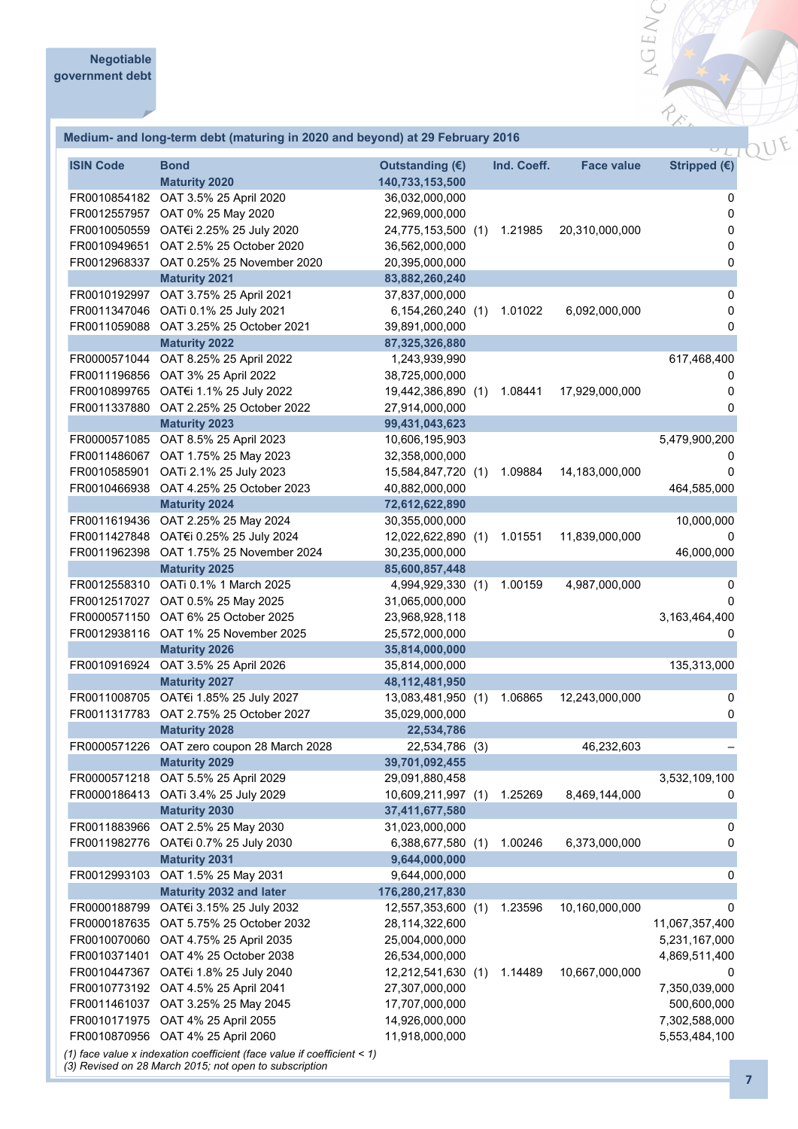### **Medium- and long-term debt (maturing in 2020 and beyond) at 29 February 2016**

| <b>ISIN Code</b> | <b>Bond</b>                                                             | Outstanding (€)    | Ind. Coeff. | <b>Face value</b> | Stripped $(€)$ |
|------------------|-------------------------------------------------------------------------|--------------------|-------------|-------------------|----------------|
|                  | <b>Maturity 2020</b>                                                    | 140,733,153,500    |             |                   |                |
|                  | FR0010854182 OAT 3.5% 25 April 2020                                     | 36,032,000,000     |             |                   | 0              |
|                  | FR0012557957 OAT 0% 25 May 2020                                         | 22,969,000,000     |             |                   | $\pmb{0}$      |
|                  | FR0010050559 OAT€i 2.25% 25 July 2020                                   | 24,775,153,500 (1) | 1.21985     | 20,310,000,000    | 0              |
|                  | FR0010949651 OAT 2.5% 25 October 2020                                   | 36,562,000,000     |             |                   | 0              |
|                  | FR0012968337 OAT 0.25% 25 November 2020                                 | 20,395,000,000     |             |                   | 0              |
|                  | <b>Maturity 2021</b>                                                    | 83,882,260,240     |             |                   |                |
|                  | FR0010192997 OAT 3.75% 25 April 2021                                    | 37,837,000,000     |             |                   | 0              |
|                  | FR0011347046 OATi 0.1% 25 July 2021                                     | 6,154,260,240 (1)  | 1.01022     | 6,092,000,000     | $\pmb{0}$      |
|                  | FR0011059088 OAT 3.25% 25 October 2021                                  | 39,891,000,000     |             |                   | 0              |
|                  | <b>Maturity 2022</b>                                                    | 87,325,326,880     |             |                   |                |
|                  | FR0000571044 OAT 8.25% 25 April 2022                                    | 1,243,939,990      |             |                   | 617,468,400    |
|                  | FR0011196856 OAT 3% 25 April 2022                                       | 38,725,000,000     |             |                   | 0              |
|                  | FR0010899765 OAT€i 1.1% 25 July 2022                                    | 19,442,386,890 (1) | 1.08441     | 17,929,000,000    | 0              |
|                  | FR0011337880 OAT 2.25% 25 October 2022                                  | 27,914,000,000     |             |                   | 0              |
|                  | <b>Maturity 2023</b>                                                    | 99,431,043,623     |             |                   |                |
|                  | FR0000571085 OAT 8.5% 25 April 2023                                     | 10,606,195,903     |             |                   | 5,479,900,200  |
|                  | FR0011486067 OAT 1.75% 25 May 2023                                      | 32,358,000,000     |             |                   | 0              |
| FR0010585901     | OATi 2.1% 25 July 2023                                                  | 15,584,847,720 (1) | 1.09884     | 14,183,000,000    | 0              |
| FR0010466938     | OAT 4.25% 25 October 2023                                               | 40,882,000,000     |             |                   | 464,585,000    |
|                  | <b>Maturity 2024</b>                                                    | 72,612,622,890     |             |                   |                |
|                  | FR0011619436 OAT 2.25% 25 May 2024                                      | 30,355,000,000     |             |                   | 10,000,000     |
|                  | FR0011427848 OAT€i 0.25% 25 July 2024                                   | 12,022,622,890 (1) | 1.01551     | 11,839,000,000    | 0              |
|                  | FR0011962398 OAT 1.75% 25 November 2024                                 | 30,235,000,000     |             |                   | 46,000,000     |
|                  | <b>Maturity 2025</b>                                                    | 85,600,857,448     |             |                   |                |
|                  | FR0012558310 OATi 0.1% 1 March 2025                                     | 4,994,929,330 (1)  | 1.00159     | 4,987,000,000     | 0              |
|                  | FR0012517027 OAT 0.5% 25 May 2025                                       | 31,065,000,000     |             |                   | 0              |
|                  | FR0000571150 OAT 6% 25 October 2025                                     | 23,968,928,118     |             |                   | 3,163,464,400  |
|                  | FR0012938116 OAT 1% 25 November 2025                                    | 25,572,000,000     |             |                   | 0              |
|                  | <b>Maturity 2026</b>                                                    | 35,814,000,000     |             |                   |                |
| FR0010916924     | OAT 3.5% 25 April 2026                                                  | 35,814,000,000     |             |                   | 135,313,000    |
|                  | <b>Maturity 2027</b>                                                    | 48,112,481,950     |             |                   |                |
| FR0011008705     | OAT€i 1.85% 25 July 2027                                                | 13,083,481,950 (1) | 1.06865     | 12,243,000,000    | 0              |
| FR0011317783     | OAT 2.75% 25 October 2027                                               | 35,029,000,000     |             |                   | 0              |
|                  | <b>Maturity 2028</b>                                                    | 22,534,786         |             |                   |                |
| FR0000571226     | OAT zero coupon 28 March 2028                                           | 22,534,786 (3)     |             | 46,232,603        |                |
|                  | <b>Maturity 2029</b>                                                    | 39,701,092,455     |             |                   |                |
| FR0000571218     | OAT 5.5% 25 April 2029                                                  | 29,091,880,458     |             |                   | 3,532,109,100  |
| FR0000186413     | OATi 3.4% 25 July 2029                                                  | 10,609,211,997 (1) | 1.25269     | 8,469,144,000     | 0              |
|                  | <b>Maturity 2030</b>                                                    | 37,411,677,580     |             |                   |                |
| FR0011883966     | OAT 2.5% 25 May 2030                                                    | 31,023,000,000     |             |                   | 0              |
| FR0011982776     | OAT€i 0.7% 25 July 2030                                                 | 6,388,677,580 (1)  | 1.00246     | 6,373,000,000     | 0              |
|                  | <b>Maturity 2031</b>                                                    | 9,644,000,000      |             |                   |                |
| FR0012993103     | OAT 1.5% 25 May 2031                                                    | 9,644,000,000      |             |                   | 0              |
|                  | <b>Maturity 2032 and later</b>                                          | 176,280,217,830    |             |                   |                |
| FR0000188799     | OAT€i 3.15% 25 July 2032                                                | 12,557,353,600 (1) | 1.23596     | 10,160,000,000    | 0              |
| FR0000187635     | OAT 5.75% 25 October 2032                                               | 28,114,322,600     |             |                   | 11,067,357,400 |
| FR0010070060     | OAT 4.75% 25 April 2035                                                 | 25,004,000,000     |             |                   | 5,231,167,000  |
| FR0010371401     | OAT 4% 25 October 2038                                                  | 26,534,000,000     |             |                   | 4,869,511,400  |
| FR0010447367     | OAT€i 1.8% 25 July 2040                                                 | 12,212,541,630 (1) | 1.14489     | 10,667,000,000    | 0              |
| FR0010773192     | OAT 4.5% 25 April 2041                                                  | 27,307,000,000     |             |                   | 7,350,039,000  |
| FR0011461037     | OAT 3.25% 25 May 2045                                                   | 17,707,000,000     |             |                   | 500,600,000    |
| FR0010171975     | OAT 4% 25 April 2055                                                    | 14,926,000,000     |             |                   | 7,302,588,000  |
|                  | FR0010870956 OAT 4% 25 April 2060                                       | 11,918,000,000     |             |                   | 5,553,484,100  |
|                  | (1) face value x indexation coefficient (face value if coefficient < 1) |                    |             |                   |                |

*(3) Revised on 28 March 2015; not open to subscription*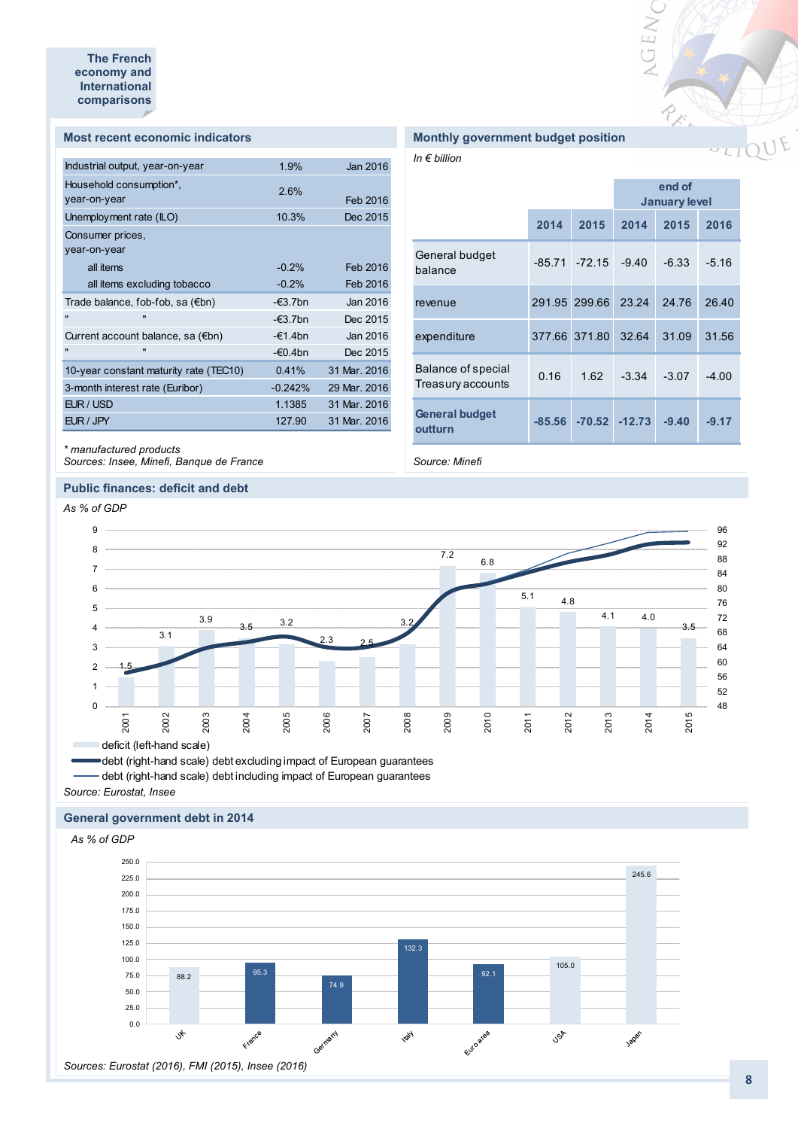#### **Most recent economic indicators**

| Industrial output, year-on-year        | 1.9%              | Jan 2016     |
|----------------------------------------|-------------------|--------------|
| Household consumption*,                | 2.6%              |              |
| year-on-year                           |                   | Feb 2016     |
| Unemployment rate (ILO)                | 10.3%             | Dec 2015     |
| Consumer prices.                       |                   |              |
| year-on-year                           |                   |              |
| all items                              | $-0.2%$           | Feb 2016     |
| all items excluding tobacco            | $-0.2%$           | Feb 2016     |
| Trade balance, fob-fob, sa (€bn)       | $-\epsilon$ 3.7bn | Jan 2016     |
| $\blacksquare$<br>$\blacksquare$       | $-\epsilon$ 3.7bn | Dec 2015     |
| Current account balance, sa (€bn)      | -€1.4bn           | Jan 2016     |
| $\mathbf{u}$<br>$\blacksquare$         | -€0.4bn           | Dec 2015     |
| 10-year constant maturity rate (TEC10) | 0.41%             | 31 Mar. 2016 |
| 3-month interest rate (Euribor)        | $-0.242%$         | 29 Mar. 2016 |
| EUR / USD                              | 1.1385            | 31 Mar. 2016 |
| EUR / JPY                              | 127.90            | 31 Mar. 2016 |
|                                        |                   |              |

# *\* manufactured products*

*Sources: Insee, Minefi, Banque de France*

#### **Public finances: deficit and debt**

# **Monthly government budget position**

*In € billion*

|                                         |               |                  | end of<br><b>January level</b> |         |         |  |
|-----------------------------------------|---------------|------------------|--------------------------------|---------|---------|--|
|                                         | 2014          | 2015             | 2014                           | 2015    | 2016    |  |
| General budget<br>balance               |               | $-85.71 - 72.15$ | $-9.40$                        | $-6.33$ | $-5.16$ |  |
| revenue                                 | 291.95 299.66 |                  | 23.24                          | 24.76   | 26.40   |  |
| expenditure                             | 377.66 371.80 |                  | 32.64                          | 31.09   | 31.56   |  |
| Balance of special<br>Treasury accounts | 0.16          | 1.62             | $-3.34$                        | $-3.07$ | $-4.00$ |  |
| <b>General budget</b><br>outturn        | $-85.56$      |                  | $-70.52 - 12.73$               | $-9.40$ | $-9.17$ |  |

VGEW

RE

*Source: Minefi*



debt (right-hand scale) debt excluding impact of European guarantees debt (right-hand scale) debt including impact of European guarantees

*Source: Eurostat, Insee*

#### **General government debt in 2014**

*As % of GDP*